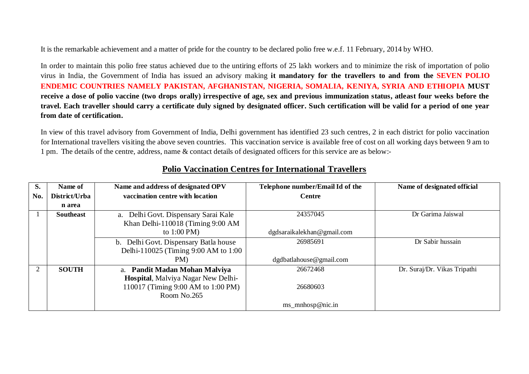It is the remarkable achievement and a matter of pride for the country to be declared polio free w.e.f. 11 February, 2014 by WHO.

In order to maintain this polio free status achieved due to the untiring efforts of 25 lakh workers and to minimize the risk of importation of polio virus in India, the Government of India has issued an advisory making **it mandatory for the travellers to and from the SEVEN POLIO ENDEMIC COUNTRIES NAMELY PAKISTAN, AFGHANISTAN, NIGERIA, SOMALIA, KENIYA, SYRIA AND ETHIOPIA MUST receive a dose of polio vaccine (two drops orally) irrespective of age, sex and previous immunization status, atleast four weeks before the travel. Each traveller should carry a certificate duly signed by designated officer. Such certification will be valid for a period of one year from date of certification.**

In view of this travel advisory from Government of India, Delhi government has identified 23 such centres, 2 in each district for polio vaccination for International travellers visiting the above seven countries. This vaccination service is available free of cost on all working days between 9 am to 1 pm. The details of the centre, address, name & contact details of designated officers for this service are as below:-

| S.  | Name of          | Name and address of designated OPV    | Telephone number/Email Id of the | Name of designated official  |
|-----|------------------|---------------------------------------|----------------------------------|------------------------------|
| No. | District/Urba    | vaccination centre with location      | <b>Centre</b>                    |                              |
|     | n area           |                                       |                                  |                              |
|     | <b>Southeast</b> | a. Delhi Govt. Dispensary Sarai Kale  | 24357045                         | Dr Garima Jaiswal            |
|     |                  | Khan Delhi-110018 (Timing 9:00 AM     |                                  |                              |
|     |                  | to $1:00 \text{ PM}$                  | dgdsaraikalekhan@gmail.com       |                              |
|     |                  | b. Delhi Govt. Dispensary Batla house | 26985691                         | Dr Sabir hussain             |
|     |                  | Delhi-110025 (Timing 9:00 AM to 1:00  |                                  |                              |
|     |                  | PM)                                   | dgdbatlabouse@gmail.com          |                              |
|     | <b>SOUTH</b>     | a. Pandit Madan Mohan Malviya         | 26672468                         | Dr. Suraj/Dr. Vikas Tripathi |
|     |                  | Hospital, Malviya Nagar New Delhi-    |                                  |                              |
|     |                  | 110017 (Timing 9:00 AM to 1:00 PM)    | 26680603                         |                              |
|     |                  | Room No.265                           |                                  |                              |
|     |                  |                                       | $ms\_mnhosp@nic.in$              |                              |

## **Polio Vaccination Centres for International Travellers**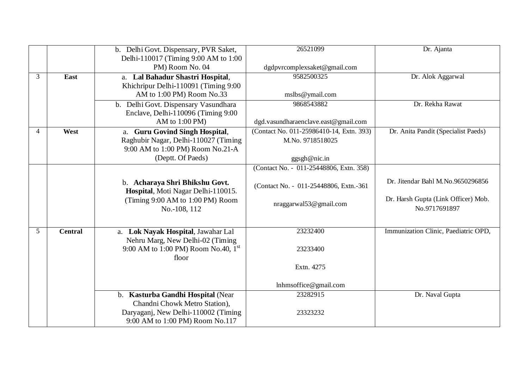|   |                | b. Delhi Govt. Dispensary, PVR Saket,           | 26521099                                 | Dr. Ajanta                           |
|---|----------------|-------------------------------------------------|------------------------------------------|--------------------------------------|
|   |                | Delhi-110017 (Timing 9:00 AM to 1:00            |                                          |                                      |
|   |                | PM) Room No. 04                                 | dgdpvrcomplexsaket@gmail.com             |                                      |
| 3 | East           | Lal Bahadur Shastri Hospital,<br>a.             | 9582500325                               | Dr. Alok Aggarwal                    |
|   |                | Khichripur Delhi-110091 (Timing 9:00            |                                          |                                      |
|   |                | AM to 1:00 PM) Room No.33                       | mslbs@ymail.com                          |                                      |
|   |                | b. Delhi Govt. Dispensary Vasundhara            | 9868543882                               | Dr. Rekha Rawat                      |
|   |                | Enclave, Delhi-110096 (Timing 9:00)             |                                          |                                      |
|   |                | AM to $1:00$ PM)                                | dgd.vasundharaenclave.east@gmail.com     |                                      |
| 4 | West           | a. Guru Govind Singh Hospital,                  | (Contact No. 011-25986410-14, Extn. 393) | Dr. Anita Pandit (Specialist Paeds)  |
|   |                | Raghubir Nagar, Delhi-110027 (Timing            | M.No. 9718518025                         |                                      |
|   |                | 9:00 AM to 1:00 PM) Room No.21-A                |                                          |                                      |
|   |                | (Deptt. Of Paeds)                               | ggsgh@nic.in                             |                                      |
|   |                |                                                 | (Contact No. - 011-25448806, Extn. 358)  |                                      |
|   |                | b. Acharaya Shri Bhikshu Govt.                  |                                          | Dr. Jitendar Bahl M.No.9650296856    |
|   |                | Hospital, Moti Nagar Delhi-110015.              | (Contact No. - 011-25448806, Extn.-361)  |                                      |
|   |                | (Timing 9:00 AM to 1:00 PM) Room                |                                          | Dr. Harsh Gupta (Link Officer) Mob.  |
|   |                | No.-108, 112                                    | nraggarwal53@gmail.com                   | No.9717691897                        |
|   |                |                                                 |                                          |                                      |
| 5 | <b>Central</b> | a. Lok Nayak Hospital, Jawahar Lal              | 23232400                                 | Immunization Clinic, Paediatric OPD, |
|   |                | Nehru Marg, New Delhi-02 (Timing                |                                          |                                      |
|   |                | 9:00 AM to 1:00 PM) Room No.40, $1^{\text{st}}$ | 23233400                                 |                                      |
|   |                | floor                                           |                                          |                                      |
|   |                |                                                 | Extn. 4275                               |                                      |
|   |                |                                                 |                                          |                                      |
|   |                |                                                 | lnhmsoffice@gmail.com                    |                                      |
|   |                | b. Kasturba Gandhi Hospital (Near               | 23282915                                 | Dr. Naval Gupta                      |
|   |                | Chandni Chowk Metro Station),                   |                                          |                                      |
|   |                | Daryaganj, New Delhi-110002 (Timing             | 23323232                                 |                                      |
|   |                | 9:00 AM to 1:00 PM) Room No.117                 |                                          |                                      |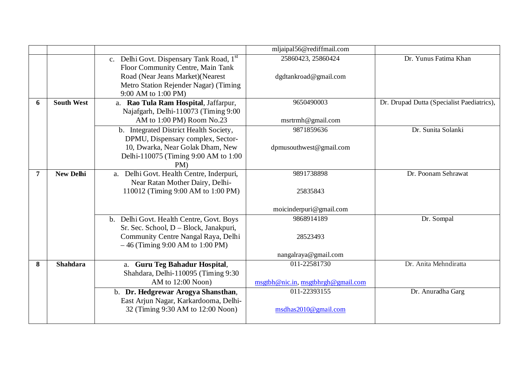|                |                   |                                          | mljaipal56@rediffmail.com             |                                            |
|----------------|-------------------|------------------------------------------|---------------------------------------|--------------------------------------------|
|                |                   | c. Delhi Govt. Dispensary Tank Road, 1st | 25860423, 25860424                    | Dr. Yunus Fatima Khan                      |
|                |                   | Floor Community Centre, Main Tank        |                                       |                                            |
|                |                   | Road (Near Jeans Market) (Nearest        | dgdtankroad@gmail.com                 |                                            |
|                |                   | Metro Station Rejender Nagar) (Timing    |                                       |                                            |
|                |                   | 9:00 AM to 1:00 PM)                      |                                       |                                            |
| 6              | <b>South West</b> | a. Rao Tula Ram Hospital, Jaffarpur,     | 9650490003                            | Dr. Drupad Dutta (Specialist Paediatrics), |
|                |                   | Najafgarh, Delhi-110073 (Timing 9:00     |                                       |                                            |
|                |                   | AM to 1:00 PM) Room No.23                | msrtrmh@gmail.com                     |                                            |
|                |                   | b. Integrated District Health Society,   | 9871859636                            | Dr. Sunita Solanki                         |
|                |                   | DPMU, Dispensary complex, Sector-        |                                       |                                            |
|                |                   | 10, Dwarka, Near Golak Dham, New         | dpmusouthwest@gmail.com               |                                            |
|                |                   | Delhi-110075 (Timing 9:00 AM to 1:00     |                                       |                                            |
|                |                   | $PM$ )                                   |                                       |                                            |
| $\overline{7}$ | <b>New Delhi</b>  | a. Delhi Govt. Health Centre, Inderpuri, | 9891738898                            | Dr. Poonam Sehrawat                        |
|                |                   | Near Ratan Mother Dairy, Delhi-          |                                       |                                            |
|                |                   | 110012 (Timing 9:00 AM to 1:00 PM)       | 25835843                              |                                            |
|                |                   |                                          |                                       |                                            |
|                |                   |                                          | moicinderpuri@gmail.com<br>9868914189 |                                            |
|                |                   | b. Delhi Govt. Health Centre, Govt. Boys |                                       | Dr. Sompal                                 |
|                |                   | Sr. Sec. School, D - Block, Janakpuri,   |                                       |                                            |
|                |                   | Community Centre Nangal Raya, Delhi      | 28523493                              |                                            |
|                |                   | $-46$ (Timing 9:00 AM to 1:00 PM)        |                                       |                                            |
|                |                   |                                          | nangalraya@gmail.com<br>011-22581730  |                                            |
| 8              | <b>Shahdara</b>   | a. Guru Teg Bahadur Hospital,            |                                       | Dr. Anita Mehndiratta                      |
|                |                   | Shahdara, Delhi-110095 (Timing 9:30      |                                       |                                            |
|                |                   | AM to $12:00$ Noon)                      | msgtbh@nic.in, msgtbhrgh@gmail.com    |                                            |
|                |                   | b. Dr. Hedgrewar Arogya Shansthan,       | 011-22393155                          | Dr. Anuradha Garg                          |
|                |                   | East Arjun Nagar, Karkardooma, Delhi-    |                                       |                                            |
|                |                   | 32 (Timing 9:30 AM to 12:00 Noon)        | msdhas2010@gmail.com                  |                                            |
|                |                   |                                          |                                       |                                            |